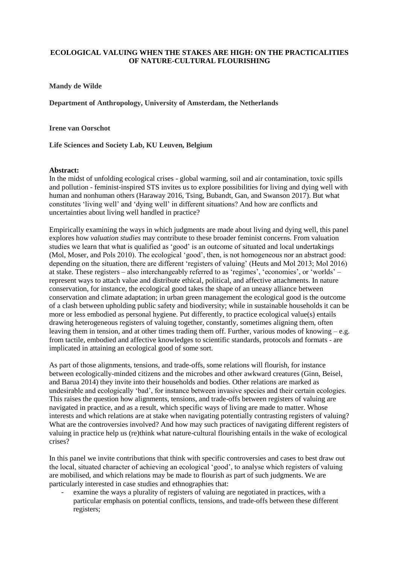## **ECOLOGICAL VALUING WHEN THE STAKES ARE HIGH: ON THE PRACTICALITIES OF NATURE-CULTURAL FLOURISHING**

**Mandy de Wilde**

**Department of Anthropology, University of Amsterdam, the Netherlands**

**Irene van Oorschot**

**Life Sciences and Society Lab, KU Leuven, Belgium**

## **Abstract:**

In the midst of unfolding ecological crises - global warming, soil and air contamination, toxic spills and pollution - feminist-inspired STS invites us to explore possibilities for living and dying well with human and nonhuman others (Haraway 2016, Tsing, Bubandt, Gan, and Swanson 2017). But what constitutes 'living well' and 'dying well' in different situations? And how are conflicts and uncertainties about living well handled in practice?

Empirically examining the ways in which judgments are made about living and dying well, this panel explores how *valuation studies* may contribute to these broader feminist concerns. From valuation studies we learn that what is qualified as 'good' is an outcome of situated and local undertakings (Mol, Moser, and Pols 2010). The ecological 'good', then, is not homogeneous nor an abstract good: depending on the situation, there are different 'registers of valuing' (Heuts and Mol 2013; Mol 2016) at stake. These registers – also interchangeably referred to as 'regimes', 'economies', or 'worlds' – represent ways to attach value and distribute ethical, political, and affective attachments. In nature conservation, for instance, the ecological good takes the shape of an uneasy alliance between conservation and climate adaptation; in urban green management the ecological good is the outcome of a clash between upholding public safety and biodiversity; while in sustainable households it can be more or less embodied as personal hygiene. Put differently, to practice ecological value(s) entails drawing heterogeneous registers of valuing together, constantly, sometimes aligning them, often leaving them in tension, and at other times trading them off. Further, various modes of knowing – e.g. from tactile, embodied and affective knowledges to scientific standards, protocols and formats - are implicated in attaining an ecological good of some sort.

As part of those alignments, tensions, and trade-offs, some relations will flourish, for instance between ecologically-minded citizens and the microbes and other awkward creatures (Ginn, Beisel, and Barua 2014) they invite into their households and bodies. Other relations are marked as undesirable and ecologically 'bad', for instance between invasive species and their certain ecologies. This raises the question how alignments, tensions, and trade-offs between registers of valuing are navigated in practice, and as a result, which specific ways of living are made to matter. Whose interests and which relations are at stake when navigating potentially contrasting registers of valuing? What are the controversies involved? And how may such practices of navigating different registers of valuing in practice help us (re)think what nature-cultural flourishing entails in the wake of ecological crises?

In this panel we invite contributions that think with specific controversies and cases to best draw out the local, situated character of achieving an ecological 'good', to analyse which registers of valuing are mobilised, and which relations may be made to flourish as part of such judgments. We are particularly interested in case studies and ethnographies that:

examine the ways a plurality of registers of valuing are negotiated in practices, with a particular emphasis on potential conflicts, tensions, and trade-offs between these different registers;